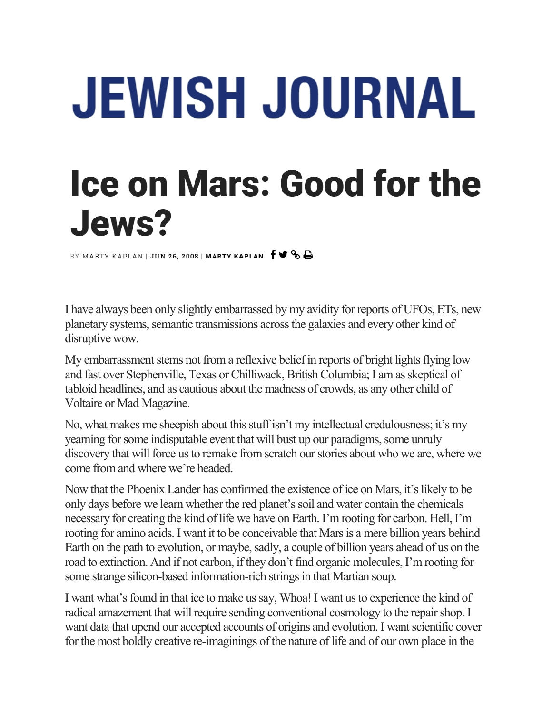## **JEWISH JOURNAL Ice on Mars: Good for the Jews?**

BY MARTY KAPLAN | JUN 26, 2008 | MARTY KAPLAN  $f \blacktriangleright$  &

I have always been only slightly embarrassed by my avidity for reports of UFOs, ETs, new planetary systems, semantic transmissions across the galaxies and every other kind of disruptive wow.

My embarrassment stems not from a reflexive belief in reports of bright lights flying low and fast over Stephenville, Texas or Chilliwack, British Columbia; I am as skeptical of tabloid headlines, and as cautious about the madness of crowds, as any other child of Voltaire or Mad Magazine.

No, what makes me sheepish about this stuff isn't my intellectual credulousness; it's my yearning for some indisputable event that will bust up our paradigms, some unruly discovery that will force us to remake from scratch our stories about who we are, where we come from and where we're headed.

Now that the Phoenix Lander has confirmed the existence of ice on Mars, it's likely to be only days before we learn whether the red planet's soil and water contain the chemicals necessary for creating the kind of life we have on Earth. I'm rooting for carbon. Hell, I'm rooting for amino acids. I want it to be conceivable that Mars is a mere billion years behind Earth on the path to evolution, or maybe, sadly, a couple of billion years ahead of us on the road to extinction. And if not carbon, if they don't find organic molecules, I'm rooting for some strange silicon-based information-rich strings in that Martian soup.

I want what's found in that ice to make us say, Whoa! I want us to experience the kind of radical amazement that will require sending conventional cosmology to the repair shop. I want data that upend our accepted accounts of origins and evolution. I want scientific cover for the most boldly creative re-imaginings of the nature of life and of our own place in the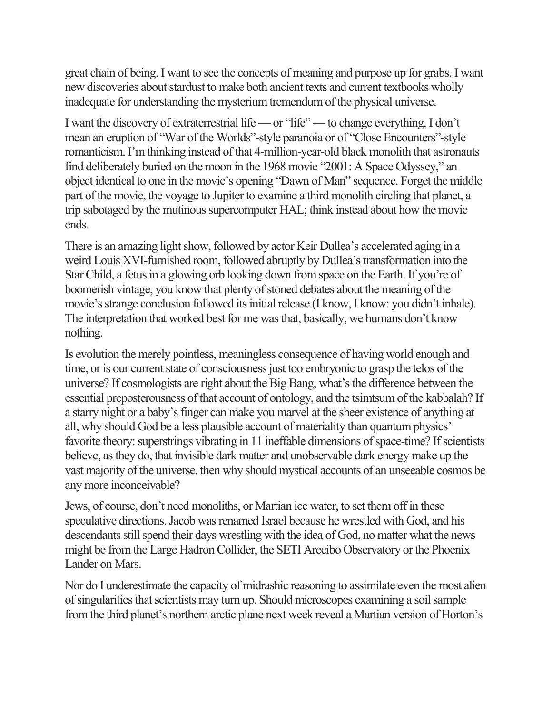great chain of being. I want to see the concepts of meaning and purpose up for grabs. I want new discoveries about stardust to make both ancient texts and current textbooks wholly inadequate for understanding the mysterium tremendum of the physical universe.

I want the discovery of extraterrestrial life — or "life" —to change everything. I don't mean an eruption of "War of the Worlds"-style paranoia or of "Close Encounters"-style romanticism. I'm thinking instead of that 4-million-year-old black monolith that astronauts find deliberately buried on the moon in the 1968 movie "2001: A Space Odyssey," an object identical to one in the movie's opening "Dawn of Man" sequence. Forget the middle part of the movie, the voyage to Jupiter to examine a third monolith circling that planet, a trip sabotaged by the mutinous supercomputer HAL; think instead about how the movie ends.

There is an amazing light show, followed by actor Keir Dullea's accelerated aging in a weird Louis XVI-furnished room, followed abruptly by Dullea's transformation into the Star Child, a fetus in a glowing orb looking down from space on the Earth. If you're of boomerish vintage, you know that plenty of stoned debates about the meaning of the movie's strange conclusion followed its initial release (I know, I know: you didn't inhale). The interpretation that worked best for me was that, basically, we humans don't know nothing.

Is evolution the merely pointless, meaningless consequence of having world enough and time, or is our current state of consciousness just too embryonic to grasp the telos of the universe? If cosmologists are right about the Big Bang, what's the difference between the essential preposterousness of that account of ontology, and the tsimtsum of the kabbalah? If a starry night or a baby's finger can make you marvel at the sheer existence of anything at all, why should God be a less plausible account of materiality than quantum physics' favorite theory: superstrings vibrating in 11 ineffable dimensions of space-time? If scientists believe, as they do, that invisible dark matter and unobservable dark energy make up the vast majority of the universe, then why should mystical accounts of an unseeable cosmos be any more inconceivable?

Jews, of course, don't need monoliths, or Martian ice water, to set them off in these speculative directions. Jacob was renamed Israel because he wrestled with God, and his descendants still spend their days wrestling with the idea of God, no matter what the news might be from the Large Hadron Collider, the SETI Arecibo Observatory or the Phoenix Lander on Mars.

Nor do I underestimate the capacity of midrashic reasoning to assimilate even the most alien of singularities that scientists may turn up. Should microscopes examining a soil sample from the third planet's northern arctic plane next week reveal a Martian version of Horton's